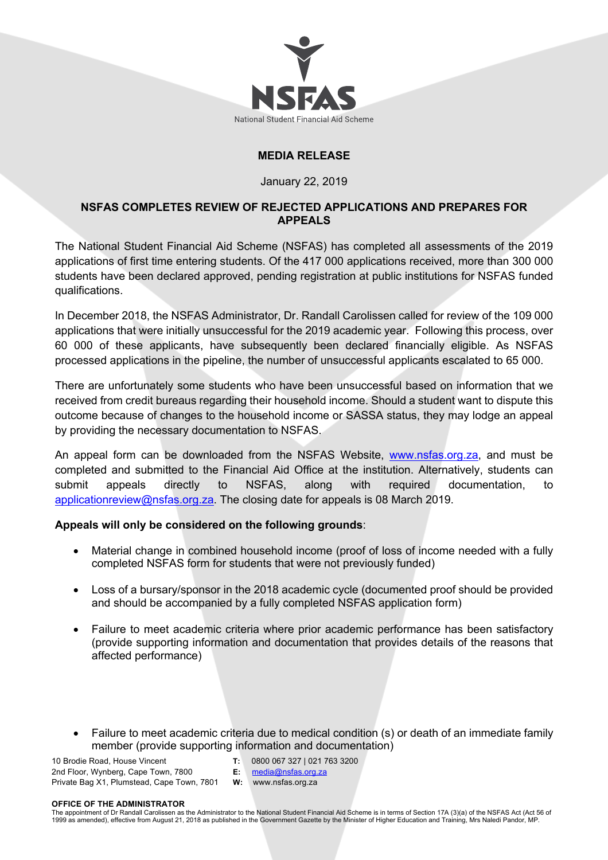

# **MEDIA RELEASE**

## January 22, 2019

# **NSFAS COMPLETES REVIEW OF REJECTED APPLICATIONS AND PREPARES FOR APPEALS**

The National Student Financial Aid Scheme (NSFAS) has completed all assessments of the 2019 applications of first time entering students. Of the 417 000 applications received, more than 300 000 students have been declared approved, pending registration at public institutions for NSFAS funded qualifications.

In December 2018, the NSFAS Administrator, Dr. Randall Carolissen called for review of the 109 000 applications that were initially unsuccessful for the 2019 academic year. Following this process, over 60 000 of these applicants, have subsequently been declared financially eligible. As NSFAS processed applications in the pipeline, the number of unsuccessful applicants escalated to 65 000.

There are unfortunately some students who have been unsuccessful based on information that we received from credit bureaus regarding their household income. Should a student want to dispute this outcome because of changes to the household income or SASSA status, they may lodge an appeal by providing the necessary documentation to NSFAS.

An appeal form can be downloaded from the NSFAS Website, www.nsfas.org.za, and must be completed and submitted to the Financial Aid Office at the institution. Alternatively, students can submit appeals directly to NSFAS, along with required documentation, to applicationreview@nsfas.org.za. The closing date for appeals is 08 March 2019.

## **Appeals will only be considered on the following grounds**:

- Material change in combined household income (proof of loss of income needed with a fully completed NSFAS form for students that were not previously funded)
- Loss of a bursary/sponsor in the 2018 academic cycle (documented proof should be provided and should be accompanied by a fully completed NSFAS application form)
- Failure to meet academic criteria where prior academic performance has been satisfactory (provide supporting information and documentation that provides details of the reasons that affected performance)
- Failure to meet academic criteria due to medical condition (s) or death of an immediate family member (provide supporting information and documentation)

10 Brodie Road, House Vincent 2nd Floor, Wynberg, Cape Town, 7800 Private Bag X1, Plumstead, Cape Town, 7801

- **T:** 0800 067 327 | 021 763 3200
- **E:** media@nsfas.org.za **W:** www.nsfas.org.za

### **OFFICE OF THE ADMINISTRATOR**

The appointment of Dr Randall Carolissen as the Administrator to the National Student Financial Aid Scheme is in terms of Section 17A (3)(a) of the NSFAS Act (Act 56 of 1999 as amended), effective from August 21, 2018 as published in the Government Gazette by the Minister of Higher Education and Training, Mrs Naledi Pandor, MP.